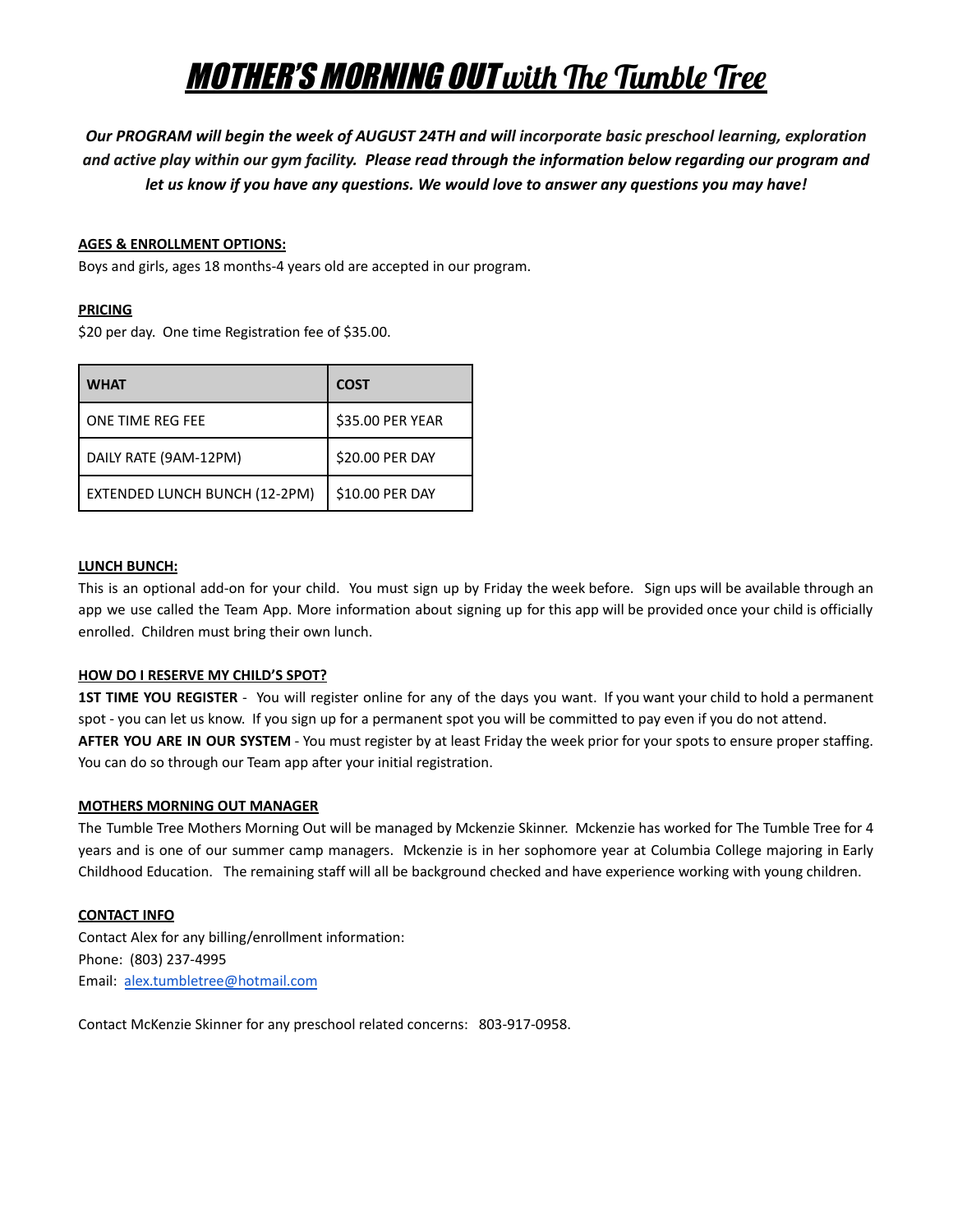# MOTHER'S MORNING OUT with The Tumble Tree

*Our PROGRAM will begin the week of AUGUST 24TH and will incorporate basic preschool learning, exploration* and active play within our gym facility. Please read through the information below regarding our program and *let us know if you have any questions. We would love to answer any questions you may have!*

## **AGES & ENROLLMENT OPTIONS:**

Boys and girls, ages 18 months-4 years old are accepted in our program.

## **PRICING**

\$20 per day. One time Registration fee of \$35.00.

| <b>WHAT</b>                   | <b>COST</b>      |
|-------------------------------|------------------|
| ONE TIME REG FEE              | \$35.00 PER YEAR |
| DAILY RATE (9AM-12PM)         | \$20.00 PER DAY  |
| EXTENDED LUNCH BUNCH (12-2PM) | \$10.00 PER DAY  |

## **LUNCH BUNCH:**

This is an optional add-on for your child. You must sign up by Friday the week before. Sign ups will be available through an app we use called the Team App. More information about signing up for this app will be provided once your child is officially enrolled. Children must bring their own lunch.

# **HOW DO I RESERVE MY CHILD'S SPOT?**

**1ST TIME YOU REGISTER** - You will register online for any of the days you want. If you want your child to hold a permanent spot - you can let us know. If you sign up for a permanent spot you will be committed to pay even if you do not attend. **AFTER YOU ARE IN OUR SYSTEM** - You must register by at least Friday the week prior for your spots to ensure proper staffing. You can do so through our Team app after your initial registration.

### **MOTHERS MORNING OUT MANAGER**

The Tumble Tree Mothers Morning Out will be managed by Mckenzie Skinner. Mckenzie has worked for The Tumble Tree for 4 years and is one of our summer camp managers. Mckenzie is in her sophomore year at Columbia College majoring in Early Childhood Education. The remaining staff will all be background checked and have experience working with young children.

# **CONTACT INFO**

Contact Alex for any billing/enrollment information: Phone: (803) 237-4995 Email: [alex.tumbletree@hotmail.com](mailto:alex.tumbletree@hotmail.com)

Contact McKenzie Skinner for any preschool related concerns: 803-917-0958.